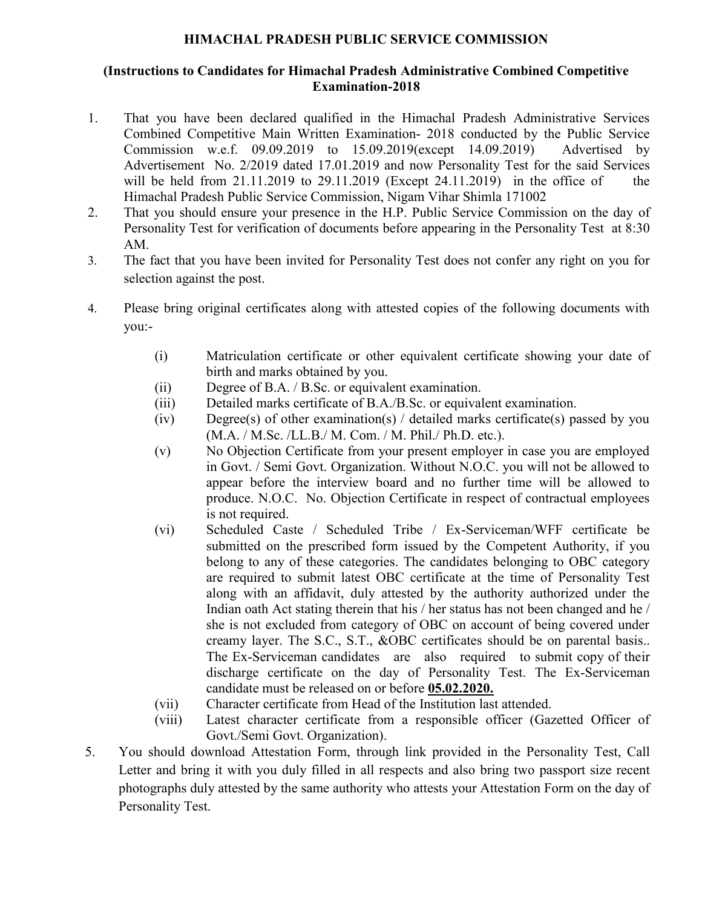## **HIMACHAL PRADESH PUBLIC SERVICE COMMISSION**

## **(Instructions to Candidates for Himachal Pradesh Administrative Combined Competitive Examination-2018**

- 1. That you have been declared qualified in the Himachal Pradesh Administrative Services Combined Competitive Main Written Examination- 2018 conducted by the Public Service Commission w.e.f. 09.09.2019 to 15.09.2019(except 14.09.2019) Advertised by Advertisement No. 2/2019 dated 17.01.2019 and now Personality Test for the said Services will be held from 21.11.2019 to 29.11.2019 (Except 24.11.2019) in the office of the Himachal Pradesh Public Service Commission, Nigam Vihar Shimla 171002
- 2. That you should ensure your presence in the H.P. Public Service Commission on the day of Personality Test for verification of documents before appearing in the Personality Test at 8:30 AM.
- 3. The fact that you have been invited for Personality Test does not confer any right on you for selection against the post.
- 4. Please bring original certificates along with attested copies of the following documents with you:-
	- (i) Matriculation certificate or other equivalent certificate showing your date of birth and marks obtained by you.
	- (ii) Degree of B.A. / B.Sc. or equivalent examination.
	- (iii) Detailed marks certificate of B.A./B.Sc. or equivalent examination.
	- $(iv)$  Degree(s) of other examination(s) / detailed marks certificate(s) passed by you (M.A. / M.Sc. /LL.B./ M. Com. / M. Phil./ Ph.D. etc.).
	- (v) No Objection Certificate from your present employer in case you are employed in Govt. / Semi Govt. Organization. Without N.O.C. you will not be allowed to appear before the interview board and no further time will be allowed to produce. N.O.C. No. Objection Certificate in respect of contractual employees is not required.
	- (vi) Scheduled Caste / Scheduled Tribe / Ex-Serviceman/WFF certificate be submitted on the prescribed form issued by the Competent Authority, if you belong to any of these categories. The candidates belonging to OBC category are required to submit latest OBC certificate at the time of Personality Test along with an affidavit, duly attested by the authority authorized under the Indian oath Act stating therein that his / her status has not been changed and he / she is not excluded from category of OBC on account of being covered under creamy layer. The S.C., S.T., &OBC certificates should be on parental basis.. The Ex-Serviceman candidates are also required to submit copy of their discharge certificate on the day of Personality Test. The Ex-Serviceman candidate must be released on or before **05.02.2020.**
	- (vii) Character certificate from Head of the Institution last attended.
	- (viii) Latest character certificate from a responsible officer (Gazetted Officer of Govt./Semi Govt. Organization).
- 5. You should download Attestation Form, through link provided in the Personality Test, Call Letter and bring it with you duly filled in all respects and also bring two passport size recent photographs duly attested by the same authority who attests your Attestation Form on the day of Personality Test.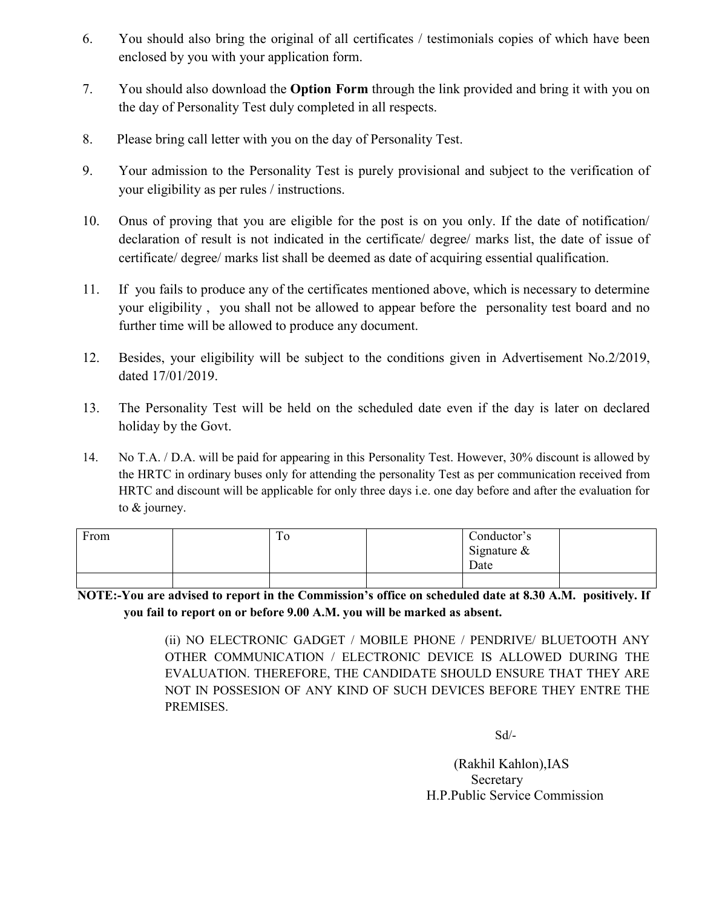- 6. You should also bring the original of all certificates / testimonials copies of which have been enclosed by you with your application form.
- 7. You should also download the **Option Form** through the link provided and bring it with you on the day of Personality Test duly completed in all respects.
- 8. Please bring call letter with you on the day of Personality Test.
- 9. Your admission to the Personality Test is purely provisional and subject to the verification of your eligibility as per rules / instructions.
- 10. Onus of proving that you are eligible for the post is on you only. If the date of notification/ declaration of result is not indicated in the certificate/ degree/ marks list, the date of issue of certificate/ degree/ marks list shall be deemed as date of acquiring essential qualification.
- 11. If you fails to produce any of the certificates mentioned above, which is necessary to determine your eligibility , you shall not be allowed to appear before the personality test board and no further time will be allowed to produce any document.
- 12. Besides, your eligibility will be subject to the conditions given in Advertisement No.2/2019, dated 17/01/2019.
- 13. The Personality Test will be held on the scheduled date even if the day is later on declared holiday by the Govt.
- 14. No T.A. / D.A. will be paid for appearing in this Personality Test. However, 30% discount is allowed by the HRTC in ordinary buses only for attending the personality Test as per communication received from HRTC and discount will be applicable for only three days i.e. one day before and after the evaluation for to & journey.

| From | To | Conductor's    |  |
|------|----|----------------|--|
|      |    | Signature $\&$ |  |
|      |    | Date           |  |
|      |    |                |  |

**NOTE:-You are advised to report in the Commission's office on scheduled date at 8.30 A.M. positively. If you fail to report on or before 9.00 A.M. you will be marked as absent.**

> (ii) NO ELECTRONIC GADGET / MOBILE PHONE / PENDRIVE/ BLUETOOTH ANY OTHER COMMUNICATION / ELECTRONIC DEVICE IS ALLOWED DURING THE EVALUATION. THEREFORE, THE CANDIDATE SHOULD ENSURE THAT THEY ARE NOT IN POSSESION OF ANY KIND OF SUCH DEVICES BEFORE THEY ENTRE THE PREMISES.

> > Sd/-

(Rakhil Kahlon),IAS Secretary H.P.Public Service Commission